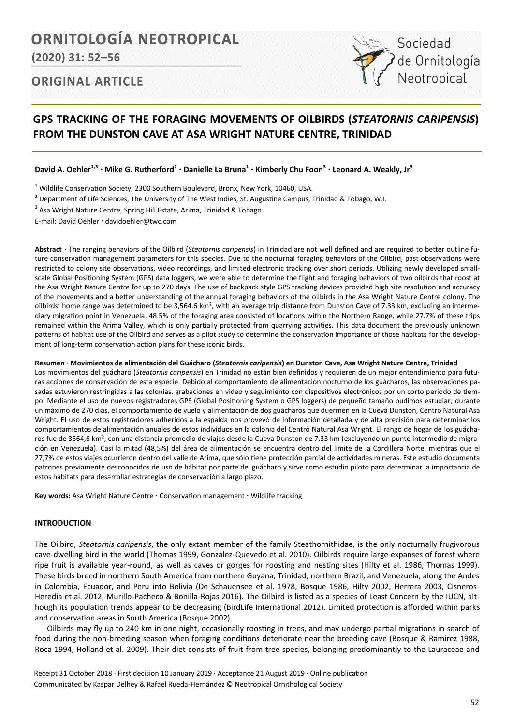# **ORNITOLOGÍA NEOTROPICAL**

**(2020) 31: 52–56**

# Sociedad de Ornitología<br>Neotropical

# **ORIGINAL ARTICLE**

## **GPS TRACKING OF THE FORAGING MOVEMENTS OF OILBIRDS (***STEATORNIS CARIPENSIS***) FROM THE DUNSTON CAVE AT ASA WRIGHT NATURE CENTRE, TRINIDAD**

David A. Oehler<sup>1,3</sup> • Mike G. Rutherford<sup>2</sup> • Danielle La Bruna<sup>1</sup> • Kimberly Chu Foon<sup>3</sup> • Leonard A. Weakly, Jr<sup>3</sup>

 $1$  Wildlife Conservation Society, 2300 Southern Boulevard, Bronx, New York, 10460, USA.

- <sup>2</sup> Department of Life Sciences, The University of The West Indies, St. Augustine Campus, Trinidad & Tobago, W.I.
- <sup>3</sup> Asa Wright Nature Centre, Spring Hill Estate, Arima, Trinidad & Tobago.

E-mail: David Oehler davidoehler@twc.com

**Abstract ·** The ranging behaviors of the Oilbird (*Steatornis caripensis*) in Trinidad are not well defined and are required to better outline future conservation management parameters for this species. Due to the nocturnal foraging behaviors of the Oilbird, past observations were restricted to colony site observations, video recordings, and limited electronic tracking over short periods. Utilizing newly developed smallscale Global Positioning System (GPS) data loggers, we were able to determine the flight and foraging behaviors of two oilbirds that roost at the Asa Wright Nature Centre for up to 270 days. The use of backpack style GPS tracking devices provided high site resolution and accuracy of the movements and a better understanding of the annual foraging behaviors of the oilbirds in the Asa Wright Nature Centre colony. The oilbirds' home range was determined to be 3,564.6 km<sup>2</sup>, with an average trip distance from Dunston Cave of 7.33 km, excluding an intermediary migration point in Venezuela. 48.5% of the foraging area consisted of locations within the Northern Range, while 27.7% of these trips remained within the Arima Valley, which is only partially protected from quarrying activities. This data document the previously unknown patterns of habitat use of the Oilbird and serves as a pilot study to determine the conservation importance of those habitats for the development of long-term conservation action plans for these iconic birds.

### **Resumen · Movimientos de alimentación del Guácharo (***Steatornis caripensis***) en Dunston Cave, Asa Wright Nature Centre, Trinidad**

Los movimientos del guácharo (*Steatornis caripensis*) en Trinidad no están bien definidos y requieren de un mejor entendimiento para futuras acciones de conservación de esta especie. Debido al comportamiento de alimentación nocturno de los guácharos, las observaciones pasadas estuvieron restringidas a las colonias, grabaciones en video y seguimiento con dispositivos electrónicos por un corto periodo de tiempo. Mediante el uso de nuevos registradores GPS (Global Positioning System o GPS loggers) de pequeño tamaño pudimos estudiar, durante un máximo de 270 días, el comportamiento de vuelo y alimentación de dos guácharos que duermen en la Cueva Dunston, Centro Natural Asa Wright. El uso de estos registradores adheridos a la espalda nos proveyó de información detallada y de alta precisión para determinar los comportamientos de alimentación anuales de estos individuos en la colonia del Centro Natural Asa Wright. El rango de hogar de los guácharos fue de 3564,6 km<sup>2</sup>, con una distancia promedio de viajes desde la Cueva Dunston de 7,33 km (excluyendo un punto intermedio de migración en Venezuela). Casi la mitad (48,5%) del área de alimentación se encuentra dentro del límite de la Cordillera Norte, mientras que el 27,7% de estos viajes ocurrieron dentro del valle de Arima, que sólo tiene protección parcial de actividades mineras. Este estudio documenta patrones previamente desconocidos de uso de hábitat por parte del guácharo y sirve como estudio piloto para determinar la importancia de estos hábitats para desarrollar estrategias de conservación a largo plazo.

Key words: Asa Wright Nature Centre · Conservation management · Wildlife tracking

## **INTRODUCTION**

The Oilbird, *Steatornis caripensis*, the only extant member of the family Steathornithidae, is the only nocturnally frugivorous cave-dwelling bird in the world (Thomas 1999, Gonzalez-Quevedo et al. 2010). Oilbirds require large expanses of forest where ripe fruit is available year-round, as well as caves or gorges for roosting and nesting sites (Hilty et al. 1986, Thomas 1999). These birds breed in northern South America from northern Guyana, Trinidad, northern Brazil, and Venezuela, along the Andes in Colombia, Ecuador, and Peru into Bolivia (De Schauensee et al. 1978, Bosque 1986, Hilty 2002, Herrera 2003, Cisneros-Heredia et al. 2012, Murillo-Pacheco & Bonilla-Rojas 2016). The Oilbird is listed as a species of Least Concern by the IUCN, although its population trends appear to be decreasing (BirdLife International 2012). Limited protection is afforded within parks and conservation areas in South America (Bosque 2002).

Oilbirds may fly up to 240 km in one night, occasionally roosting in trees, and may undergo partial migrations in search of food during the non-breeding season when foraging conditions deteriorate near the breeding cave (Bosque & Ramirez 1988, Roca 1994, Holland et al. 2009). Their diet consists of fruit from tree species, belonging predominantly to the Lauraceae and

Receipt 31 October 2018 ∙ First decision 10 January 2019 ∙ Acceptance 21 August 2019 ∙ Online publication Communicated by Kaspar Delhey & Rafael Rueda-Hernández © Neotropical Ornithological Society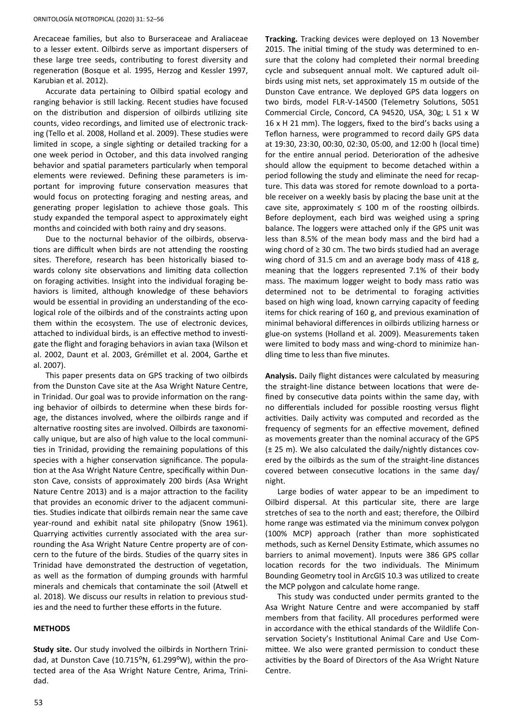Arecaceae families, but also to Burseraceae and Araliaceae to a lesser extent. Oilbirds serve as important dispersers of these large tree seeds, contributing to forest diversity and regeneration (Bosque et al. 1995, Herzog and Kessler 1997, Karubian et al. 2012).

Accurate data pertaining to Oilbird spatial ecology and ranging behavior is still lacking. Recent studies have focused on the distribution and dispersion of oilbirds utilizing site counts, video recordings, and limited use of electronic tracking (Tello et al. 2008, Holland et al. 2009). These studies were limited in scope, a single sighting or detailed tracking for a one week period in October, and this data involved ranging behavior and spatial parameters particularly when temporal elements were reviewed. Defining these parameters is important for improving future conservation measures that would focus on protecting foraging and nesting areas, and generating proper legislation to achieve those goals. This study expanded the temporal aspect to approximately eight months and coincided with both rainy and dry seasons.

Due to the nocturnal behavior of the oilbirds, observations are difficult when birds are not attending the roosting sites. Therefore, research has been historically biased towards colony site observations and limiting data collection on foraging activities. Insight into the individual foraging behaviors is limited, although knowledge of these behaviors would be essential in providing an understanding of the ecological role of the oilbirds and of the constraints acting upon them within the ecosystem. The use of electronic devices, attached to individual birds, is an effective method to investigate the flight and foraging behaviors in avian taxa (Wilson et al. 2002, Daunt et al. 2003, Grémillet et al. 2004, Garthe et al. 2007).

This paper presents data on GPS tracking of two oilbirds from the Dunston Cave site at the Asa Wright Nature Centre, in Trinidad. Our goal was to provide information on the ranging behavior of oilbirds to determine when these birds forage, the distances involved, where the oilbirds range and if alternative roosting sites are involved. Oilbirds are taxonomically unique, but are also of high value to the local communities in Trinidad, providing the remaining populations of this species with a higher conservation significance. The population at the Asa Wright Nature Centre, specifically within Dunston Cave, consists of approximately 200 birds (Asa Wright Nature Centre 2013) and is a major attraction to the facility that provides an economic driver to the adjacent communities. Studies indicate that oilbirds remain near the same cave year-round and exhibit natal site philopatry (Snow 1961). Quarrying activities currently associated with the area surrounding the Asa Wright Nature Centre property are of concern to the future of the birds. Studies of the quarry sites in Trinidad have demonstrated the destruction of vegetation, as well as the formation of dumping grounds with harmful minerals and chemicals that contaminate the soil (Atwell et al. 2018). We discuss our results in relation to previous studies and the need to further these efforts in the future.

#### **METHODS**

**Study site.** Our study involved the oilbirds in Northern Trinidad, at Dunston Cave (10.715°N, 61.299°W), within the protected area of the Asa Wright Nature Centre, Arima, Trinidad.

**Tracking.** Tracking devices were deployed on 13 November 2015. The initial timing of the study was determined to ensure that the colony had completed their normal breeding cycle and subsequent annual molt. We captured adult oilbirds using mist nets, set approximately 15 m outside of the Dunston Cave entrance. We deployed GPS data loggers on two birds, model FLR-V-14500 (Telemetry Solutions, 5051 Commercial Circle, Concord, CA 94520, USA, 30g; L 51 x W 16 x H 21 mm). The loggers, fixed to the bird's backs using a Teflon harness, were programmed to record daily GPS data at 19:30, 23:30, 00:30, 02:30, 05:00, and 12:00 h (local time) for the entire annual period. Deterioration of the adhesive should allow the equipment to become detached within a period following the study and eliminate the need for recapture. This data was stored for remote download to a portable receiver on a weekly basis by placing the base unit at the cave site, approximately  $\leq 100$  m of the roosting oilbirds. Before deployment, each bird was weighed using a spring balance. The loggers were attached only if the GPS unit was less than 8.5% of the mean body mass and the bird had a wing chord of ≥ 30 cm. The two birds studied had an average wing chord of 31.5 cm and an average body mass of 418 g, meaning that the loggers represented 7.1% of their body mass. The maximum logger weight to body mass ratio was determined not to be detrimental to foraging activities based on high wing load, known carrying capacity of feeding items for chick rearing of 160 g, and previous examination of minimal behavioral differences in oilbirds utilizing harness or glue-on systems (Holland et al. 2009). Measurements taken were limited to body mass and wing-chord to minimize handling time to less than five minutes.

**Analysis.** Daily flight distances were calculated by measuring the straight-line distance between locations that were defined by consecutive data points within the same day, with no differentials included for possible roosting versus flight activities. Daily activity was computed and recorded as the frequency of segments for an effective movement, defined as movements greater than the nominal accuracy of the GPS (± 25 m). We also calculated the daily/nightly distances covered by the oilbirds as the sum of the straight-line distances covered between consecutive locations in the same day/ night.

Large bodies of water appear to be an impediment to Oilbird dispersal. At this particular site, there are large stretches of sea to the north and east; therefore, the Oilbird home range was estimated via the minimum convex polygon (100% MCP) approach (rather than more sophisticated methods, such as Kernel Density Estimate, which assumes no barriers to animal movement). Inputs were 386 GPS collar location records for the two individuals. The Minimum Bounding Geometry tool in ArcGIS 10.3 was utilized to create the MCP polygon and calculate home range.

This study was conducted under permits granted to the Asa Wright Nature Centre and were accompanied by staff members from that facility. All procedures performed were in accordance with the ethical standards of the Wildlife Conservation Society's Institutional Animal Care and Use Committee. We also were granted permission to conduct these activities by the Board of Directors of the Asa Wright Nature Centre.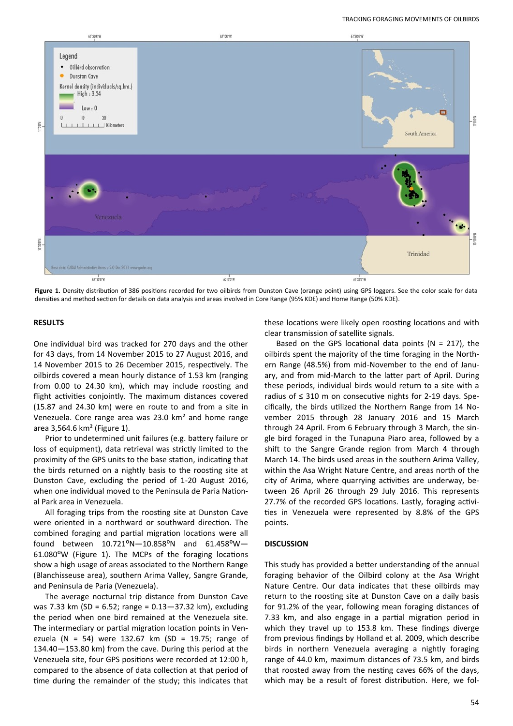

**Figure 1.** Density distribution of 386 positions recorded for two oilbirds from Dunston Cave (orange point) using GPS loggers. See the color scale for data densities and method section for details on data analysis and areas involved in Core Range (95% KDE) and Home Range (50% KDE).

#### **RESULTS**

One individual bird was tracked for 270 days and the other for 43 days, from 14 November 2015 to 27 August 2016, and 14 November 2015 to 26 December 2015, respectively. The oilbirds covered a mean hourly distance of 1.53 km (ranging from 0.00 to 24.30 km), which may include roosting and flight activities conjointly. The maximum distances covered (15.87 and 24.30 km) were en route to and from a site in Venezuela. Core range area was 23.0 km² and home range area 3,564.6 km² (Figure 1).

Prior to undetermined unit failures (e.g. battery failure or loss of equipment), data retrieval was strictly limited to the proximity of the GPS units to the base station, indicating that the birds returned on a nightly basis to the roosting site at Dunston Cave, excluding the period of 1-20 August 2016, when one individual moved to the Peninsula de Paria National Park area in Venezuela.

All foraging trips from the roosting site at Dunston Cave were oriented in a northward or southward direction. The combined foraging and partial migration locations were all found between  $10.721^{\circ}N - 10.858^{\circ}N$  and  $61.458^{\circ}W -$ 61.080⁰W (Figure 1). The MCPs of the foraging locations show a high usage of areas associated to the Northern Range (Blanchisseuse area), southern Arima Valley, Sangre Grande, and Peninsula de Paria (Venezuela).

The average nocturnal trip distance from Dunston Cave was 7.33 km (SD = 6.52; range = 0.13—37.32 km), excluding the period when one bird remained at the Venezuela site. The intermediary or partial migration location points in Venezuela (N = 54) were 132.67 km (SD = 19.75; range of 134.40—153.80 km) from the cave. During this period at the Venezuela site, four GPS positions were recorded at 12:00 h, compared to the absence of data collection at that period of time during the remainder of the study; this indicates that these locations were likely open roosting locations and with clear transmission of satellite signals.

Based on the GPS locational data points ( $N = 217$ ), the oilbirds spent the majority of the time foraging in the Northern Range (48.5%) from mid-November to the end of January, and from mid-March to the latter part of April. During these periods, individual birds would return to a site with a radius of ≤ 310 m on consecutive nights for 2-19 days. Specifically, the birds utilized the Northern Range from 14 November 2015 through 28 January 2016 and 15 March through 24 April. From 6 February through 3 March, the single bird foraged in the Tunapuna Piaro area, followed by a shift to the Sangre Grande region from March 4 through March 14. The birds used areas in the southern Arima Valley, within the Asa Wright Nature Centre, and areas north of the city of Arima, where quarrying activities are underway, between 26 April 26 through 29 July 2016. This represents 27.7% of the recorded GPS locations. Lastly, foraging activities in Venezuela were represented by 8.8% of the GPS points.

#### **DISCUSSION**

This study has provided a better understanding of the annual foraging behavior of the Oilbird colony at the Asa Wright Nature Centre. Our data indicates that these oilbirds may return to the roosting site at Dunston Cave on a daily basis for 91.2% of the year, following mean foraging distances of 7.33 km, and also engage in a partial migration period in which they travel up to 153.8 km. These findings diverge from previous findings by Holland et al. 2009, which describe birds in northern Venezuela averaging a nightly foraging range of 44.0 km, maximum distances of 73.5 km, and birds that roosted away from the nesting caves 66% of the days, which may be a result of forest distribution. Here, we fol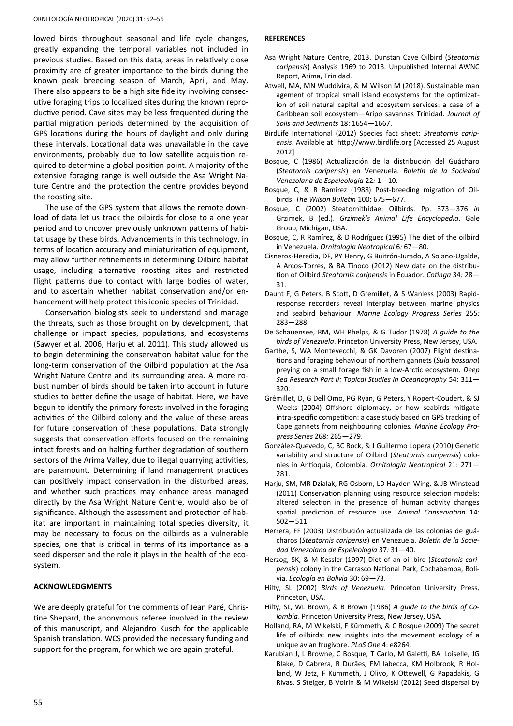lowed birds throughout seasonal and life cycle changes, greatly expanding the temporal variables not included in previous studies. Based on this data, areas in relatively close proximity are of greater importance to the birds during the known peak breeding season of March, April, and May. There also appears to be a high site fidelity involving consecutive foraging trips to localized sites during the known reproductive period. Cave sites may be less frequented during the partial migration periods determined by the acquisition of GPS locations during the hours of daylight and only during these intervals. Locational data was unavailable in the cave environments, probably due to low satellite acquisition required to determine a global position point. A majority of the extensive foraging range is well outside the Asa Wright Nature Centre and the protection the centre provides beyond the roosting site.

The use of the GPS system that allows the remote download of data let us track the oilbirds for close to a one year period and to uncover previously unknown patterns of habitat usage by these birds. Advancements in this technology, in terms of location accuracy and miniaturization of equipment, may allow further refinements in determining Oilbird habitat usage, including alternative roosting sites and restricted flight patterns due to contact with large bodies of water, and to ascertain whether habitat conservation and/or enhancement will help protect this iconic species of Trinidad.

Conservation biologists seek to understand and manage the threats, such as those brought on by development, that challenge or impact species, populations, and ecosystems (Sawyer et al. 2006, Harju et al. 2011). This study allowed us to begin determining the conservation habitat value for the long-term conservation of the Oilbird population at the Asa Wright Nature Centre and its surrounding area. A more robust number of birds should be taken into account in future studies to better define the usage of habitat. Here, we have begun to identify the primary forests involved in the foraging activities of the Oilbird colony and the value of these areas for future conservation of these populations. Data strongly suggests that conservation efforts focused on the remaining intact forests and on halting further degradation of southern sectors of the Arima Valley, due to illegal quarrying activities, are paramount. Determining if land management practices can positively impact conservation in the disturbed areas, and whether such practices may enhance areas managed directly by the Asa Wright Nature Centre, would also be of significance. Although the assessment and protection of habitat are important in maintaining total species diversity, it may be necessary to focus on the oilbirds as a vulnerable species, one that is critical in terms of its importance as a seed disperser and the role it plays in the health of the ecosystem.

## **ACKNOWLEDGMENTS**

We are deeply grateful for the comments of Jean Paré, Christine Shepard, the anonymous referee involved in the review of this manuscript, and Alejandro Kusch for the applicable Spanish translation. WCS provided the necessary funding and support for the program, for which we are again grateful.

#### **REFERENCES**

- Asa Wright Nature Centre, 2013. Dunstan Cave Oilbird (*Steatornis caripensis*) Analysis 1969 to 2013. Unpublished Internal AWNC Report, Arima, Trinidad.
- Atwell, MA, MN Wuddivira, & M Wilson M (2018). Sustainable man agement of tropical small island ecosystems for the optimization of soil natural capital and ecosystem services: a case of a Caribbean soil ecosystem—Aripo savannas Trinidad. *Journal of Soils and Sediments* 18: 1654—1667.
- BirdLife International (2012) Species fact sheet: *Streatornis caripensis*. Available at http://www.birdlife.org [Accessed 25 August 2012]
- Bosque, C (1986) Actualización de la distribución del Guácharo (*Steatornis caripensis*) en Venezuela. *Boletín de la Sociedad Venezolana de Espeleología* 22*:* 1—10.
- Bosque, C, & R Ramirez (1988) Post-breeding migration of Oilbirds. *The Wilson Bulletin* 100: 675—677.
- Bosque, C (2002) Steatornithidae: Oilbirds. Pp. 373—376 *in*  Grzimek, B (ed.). *Grzimek's Animal Life Encyclopedia*. Gale Group, Michigan, USA.
- Bosque, C, R Ramírez, & D Rodríguez (1995) The diet of the oilbird in Venezuela. *Ornitología Neotropical* 6*:* 67—80.
- Cisneros-Heredia, DF, PY Henry, G Buitrón-Jurado, A Solano-Ugalde, A Arcos-Torres, & BA Tinoco (2012) New data on the distribution of Oilbird *Steatornis caripensis* in Ecuador. *Cotinga* 34*:* 28— 31.
- Daunt F, G Peters, B Scott, D Gremillet, & S Wanless (2003) Rapidresponse recorders reveal interplay between marine physics and seabird behaviour. *Marine Ecology Progress Series* 255*:* 283—288.
- De Schauensee, RM, WH Phelps, & G Tudor (1978) *A guide to the birds of Venezuela*. Princeton University Press, New Jersey, USA.
- Garthe, S, WA Montevecchi, & GK Davoren (2007) Flight destinations and foraging behaviour of northern gannets (*Sula bassana*) preying on a small forage fish in a low-Arctic ecosystem. *Deep Sea Research Part II: Topical Studies in Oceanography* 54: 311— 320.
- Grémillet, D, G Dell Omo, PG Ryan, G Peters, Y Ropert-Coudert, & SJ Weeks (2004) Offshore diplomacy, or how seabirds mitigate intra-specific competition: a case study based on GPS tracking of Cape gannets from neighbouring colonies. *Marine Ecology Progress Series* 268*:* 265—279.
- González-Quevedo, C, BC Bock, & J Guillermo Lopera (2010) Genetic variability and structure of Oilbird (*Steatornis caripensis*) colonies in Antioquia, Colombia. *Ornitología Neotropical* 21: 271— 281.
- Harju, SM, MR Dzialak, RG Osborn, LD Hayden‐Wing, & JB Winstead (2011) Conservation planning using resource selection models: altered selection in the presence of human activity changes spatial prediction of resource use. *Animal Conservation* 14: 502—511.
- Herrera, FF (2003) Distribución actualizada de las colonias de guácharos (*Steatornis caripensis*) en Venezuela. *Boletín de la Sociedad Venezolana de Espeleología* 37*:* 31—40.
- Herzog, SK, & M Kessler (1997) Diet of an oil bird (*Steatornis caripensis*) colony in the Carrasco National Park, Cochabamba, Bolivia. *Ecología en Bolivia* 30: 69—73.
- Hilty, SL (2002) *Birds of Venezuela*. Princeton University Press, Princeton, USA.
- Hilty, SL, WL Brown, & B Brown (1986) *A guide to the birds of Colombia*. Princeton University Press, New Jersey, USA.
- Holland, RA, M Wikelski, F Kümmeth, & C Bosque (2009) The secret life of oilbirds: new insights into the movement ecology of a unique avian frugivore. *PLoS One* 4: e8264.
- Karubian J, L Browne, C Bosque, T Carlo, M Galetti, BA Loiselle, JG Blake, D Cabrera, R Durães, FM labecca, KM Holbrook, R Holland, W Jetz, F Kümmeth, J Olivo, K Ottewell, G Papadakis, G Rivas, S Steiger, B Voirin & M Wikelski (2012) Seed dispersal by